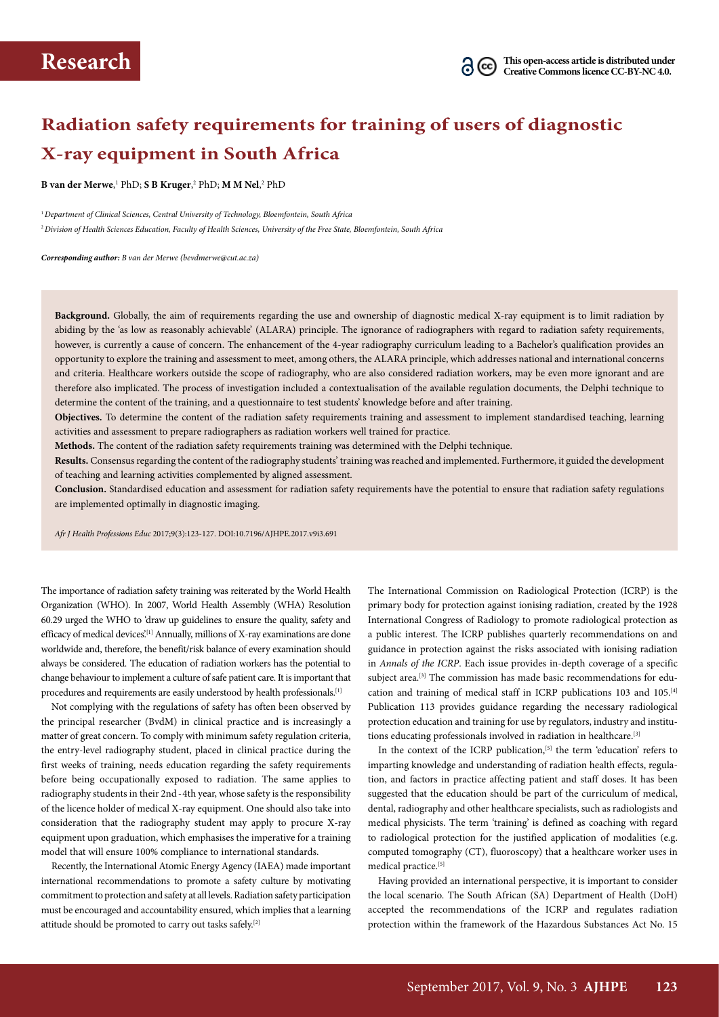# **Radiation safety requirements for training of users of diagnostic X-ray equipment in South Africa**

**B** van der Merwe,<sup>1</sup> PhD; **S B Kruger**,<sup>2</sup> PhD; **M M Nel**,<sup>2</sup> PhD

<sup>1</sup>*Department of Clinical Sciences, Central University of Technology, Bloemfontein, South Africa* <sup>2</sup>*Division of Health Sciences Education, Faculty of Health Sciences, University of the Free State, Bloemfontein, South Africa*

*Corresponding author: B van der Merwe (bevdmerwe@cut.ac.za)*

**Background.** Globally, the aim of requirements regarding the use and ownership of diagnostic medical X-ray equipment is to limit radiation by abiding by the 'as low as reasonably achievable' (ALARA) principle. The ignorance of radiographers with regard to radiation safety requirements, however, is currently a cause of concern. The enhancement of the 4-year radiography curriculum leading to a Bachelor's qualification provides an opportunity to explore the training and assessment to meet, among others, the ALARA principle, which addresses national and international concerns and criteria. Healthcare workers outside the scope of radiography, who are also considered radiation workers, may be even more ignorant and are therefore also implicated. The process of investigation included a contextualisation of the available regulation documents, the Delphi technique to determine the content of the training, and a questionnaire to test students' knowledge before and after training.

**Objectives.** To determine the content of the radiation safety requirements training and assessment to implement standardised teaching, learning activities and assessment to prepare radiographers as radiation workers well trained for practice.

**Methods.** The content of the radiation safety requirements training was determined with the Delphi technique.

**Results.** Consensus regarding the content of the radiography students' training was reached and implemented. Furthermore, it guided the development of teaching and learning activities complemented by aligned assessment.

**Conclusion.** Standardised education and assessment for radiation safety requirements have the potential to ensure that radiation safety regulations are implemented optimally in diagnostic imaging.

*Afr J Health Professions Educ* 2017;9(3):123-127. DOI:10.7196/AJHPE.2017.v9i3.691

The importance of radiation safety training was reiterated by the World Health Organization (WHO). In 2007, World Health Assembly (WHA) Resolution 60.29 urged the WHO to 'draw up guidelines to ensure the quality, safety and efficacy of medical devices.<sup>[1]</sup> Annually, millions of X-ray examinations are done worldwide and, therefore, the benefit/risk balance of every examination should always be considered. The education of radiation workers has the potential to change behaviour to implement a culture of safe patient care. It is important that procedures and requirements are easily understood by health professionals.<sup>[1]</sup>

Not complying with the regulations of safety has often been observed by the principal researcher (BvdM) in clinical practice and is increasingly a matter of great concern. To comply with minimum safety regulation criteria, the entry-level radiography student, placed in clinical practice during the first weeks of training, needs education regarding the safety requirements before being occupationally exposed to radiation. The same applies to radiography students in their 2nd - 4th year, whose safety is the responsibility of the licence holder of medical X-ray equipment. One should also take into consideration that the radiography student may apply to procure X-ray equipment upon graduation, which emphasises the imperative for a training model that will ensure 100% compliance to international standards.

Recently, the International Atomic Energy Agency (IAEA) made important international recommendations to promote a safety culture by motivating commitment to protection and safety at all levels. Radiation safety participation must be encouraged and accountability ensured, which implies that a learning attitude should be promoted to carry out tasks safely.[2]

The International Commission on Radiological Protection (ICRP) is the primary body for protection against ionising radiation, created by the 1928 International Congress of Radiology to promote radiological protection as a public interest. The ICRP publishes quarterly recommendations on and guidance in protection against the risks associated with ionising radiation in *Annals of the ICRP*. Each issue provides in-depth coverage of a specific subject area.<sup>[3]</sup> The commission has made basic recommendations for education and training of medical staff in ICRP publications 103 and 105.<sup>[4]</sup> Publication 113 provides guidance regarding the necessary radiological protection education and training for use by regulators, industry and institutions educating professionals involved in radiation in healthcare.[3]

In the context of the ICRP publication,<sup>[5]</sup> the term 'education' refers to imparting knowledge and understanding of radiation health effects, regulation, and factors in practice affecting patient and staff doses. It has been suggested that the education should be part of the curriculum of medical, dental, radiography and other healthcare specialists, such as radiologists and medical physicists. The term 'training' is defined as coaching with regard to radiological protection for the justified application of modalities (e.g. computed tomography (CT), fluoroscopy) that a healthcare worker uses in medical practice.<sup>[5]</sup>

Having provided an international perspective, it is important to consider the local scenario. The South African (SA) Department of Health (DoH) accepted the recommendations of the ICRP and regulates radiation protection within the framework of the Hazardous Substances Act No. 15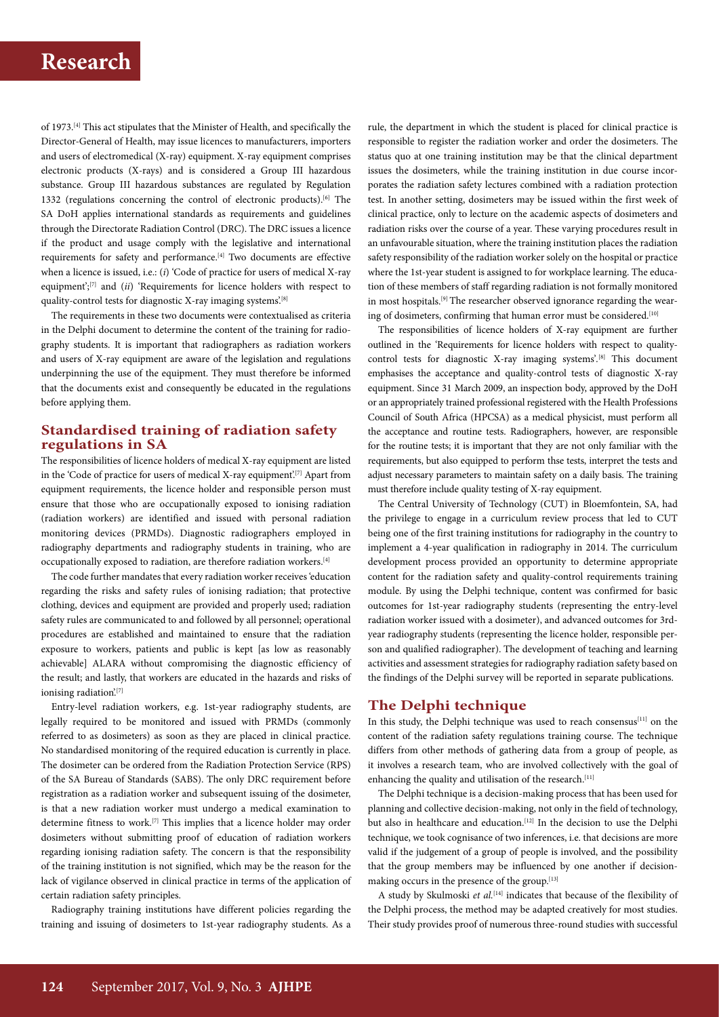of 1973.[4] This act stipulates that the Minister of Health, and specifically the Director-General of Health, may issue licences to manufacturers, importers and users of electromedical (X-ray) equipment. X-ray equipment comprises electronic products (X-rays) and is considered a Group III hazardous substance. Group III hazardous substances are regulated by Regulation 1332 (regulations concerning the control of electronic products).<sup>[6]</sup> The SA DoH applies international standards as requirements and guidelines through the Directorate Radiation Control (DRC). The DRC issues a licence if the product and usage comply with the legislative and international requirements for safety and performance.[4] Two documents are effective when a licence is issued, i.e.: (*i*) 'Code of practice for users of medical X-ray equipment';[7] and (*ii*) 'Requirements for licence holders with respect to quality-control tests for diagnostic X-ray imaging systems.<sup>[8]</sup>

The requirements in these two documents were contextualised as criteria in the Delphi document to determine the content of the training for radiography students. It is important that radiographers as radiation workers and users of X-ray equipment are aware of the legislation and regulations underpinning the use of the equipment. They must therefore be informed that the documents exist and consequently be educated in the regulations before applying them.

# **Standardised training of radiation safety regulations in SA**

The responsibilities of licence holders of medical X-ray equipment are listed in the 'Code of practice for users of medical X-ray equipment'.<sup>[7]</sup> Apart from equipment requirements, the licence holder and responsible person must ensure that those who are occupationally exposed to ionising radiation (radiation workers) are identified and issued with personal radiation monitoring devices (PRMDs). Diagnostic radiographers employed in radiography departments and radiography students in training, who are occupationally exposed to radiation, are therefore radiation workers.[4]

The code further mandates that every radiation worker receives 'education regarding the risks and safety rules of ionising radiation; that protective clothing, devices and equipment are provided and properly used; radiation safety rules are communicated to and followed by all personnel; operational procedures are established and maintained to ensure that the radiation exposure to workers, patients and public is kept [as low as reasonably achievable] ALARA without compromising the diagnostic efficiency of the result; and lastly, that workers are educated in the hazards and risks of ionising radiation.<sup>[7]</sup>

Entry-level radiation workers, e.g. 1st-year radiography students, are legally required to be monitored and issued with PRMDs (commonly referred to as dosimeters) as soon as they are placed in clinical practice. No standardised monitoring of the required education is currently in place. The dosimeter can be ordered from the Radiation Protection Service (RPS) of the SA Bureau of Standards (SABS). The only DRC requirement before registration as a radiation worker and subsequent issuing of the dosimeter, is that a new radiation worker must undergo a medical examination to determine fitness to work.[7] This implies that a licence holder may order dosimeters without submitting proof of education of radiation workers regarding ionising radiation safety. The concern is that the responsibility of the training institution is not signified, which may be the reason for the lack of vigilance observed in clinical practice in terms of the application of certain radiation safety principles.

Radiography training institutions have different policies regarding the training and issuing of dosimeters to 1st-year radiography students. As a

rule, the department in which the student is placed for clinical practice is responsible to register the radiation worker and order the dosimeters. The status quo at one training institution may be that the clinical department issues the dosimeters, while the training institution in due course incorporates the radiation safety lectures combined with a radiation protection test. In another setting, dosimeters may be issued within the first week of clinical practice, only to lecture on the academic aspects of dosimeters and radiation risks over the course of a year. These varying procedures result in an unfavourable situation, where the training institution places the radiation safety responsibility of the radiation worker solely on the hospital or practice where the 1st-year student is assigned to for workplace learning. The education of these members of staff regarding radiation is not formally monitored in most hospitals.<sup>[9]</sup> The researcher observed ignorance regarding the wearing of dosimeters, confirming that human error must be considered.<sup>[10]</sup>

The responsibilities of licence holders of X-ray equipment are further outlined in the 'Requirements for licence holders with respect to qualitycontrol tests for diagnostic X-ray imaging systems'*.* [8] This document emphasises the acceptance and quality-control tests of diagnostic X-ray equipment. Since 31 March 2009, an inspection body, approved by the DoH or an appropriately trained professional registered with the Health Professions Council of South Africa (HPCSA) as a medical physicist, must perform all the acceptance and routine tests. Radiographers, however, are responsible for the routine tests; it is important that they are not only familiar with the requirements, but also equipped to perform thse tests, interpret the tests and adjust necessary parameters to maintain safety on a daily basis. The training must therefore include quality testing of X-ray equipment.

The Central University of Technology (CUT) in Bloemfontein, SA, had the privilege to engage in a curriculum review process that led to CUT being one of the first training institutions for radiography in the country to implement a 4-year qualification in radiography in 2014. The curriculum development process provided an opportunity to determine appropriate content for the radiation safety and quality-control requirements training module. By using the Delphi technique, content was confirmed for basic outcomes for 1st-year radiography students (representing the entry-level radiation worker issued with a dosimeter), and advanced outcomes for 3rdyear radiography students (representing the licence holder, responsible person and qualified radiographer). The development of teaching and learning activities and assessment strategies for radiography radiation safety based on the findings of the Delphi survey will be reported in separate publications.

## **The Delphi technique**

In this study, the Delphi technique was used to reach consensus $[11]$  on the content of the radiation safety regulations training course. The technique differs from other methods of gathering data from a group of people, as it involves a research team, who are involved collectively with the goal of enhancing the quality and utilisation of the research.<sup>[11]</sup>

The Delphi technique is a decision-making process that has been used for planning and collective decision-making, not only in the field of technology, but also in healthcare and education.<sup>[12]</sup> In the decision to use the Delphi technique, we took cognisance of two inferences, i.e. that decisions are more valid if the judgement of a group of people is involved, and the possibility that the group members may be influenced by one another if decisionmaking occurs in the presence of the group.[13]

A study by Skulmoski *et al.*[14] indicates that because of the flexibility of the Delphi process, the method may be adapted creatively for most studies. Their study provides proof of numerous three-round studies with successful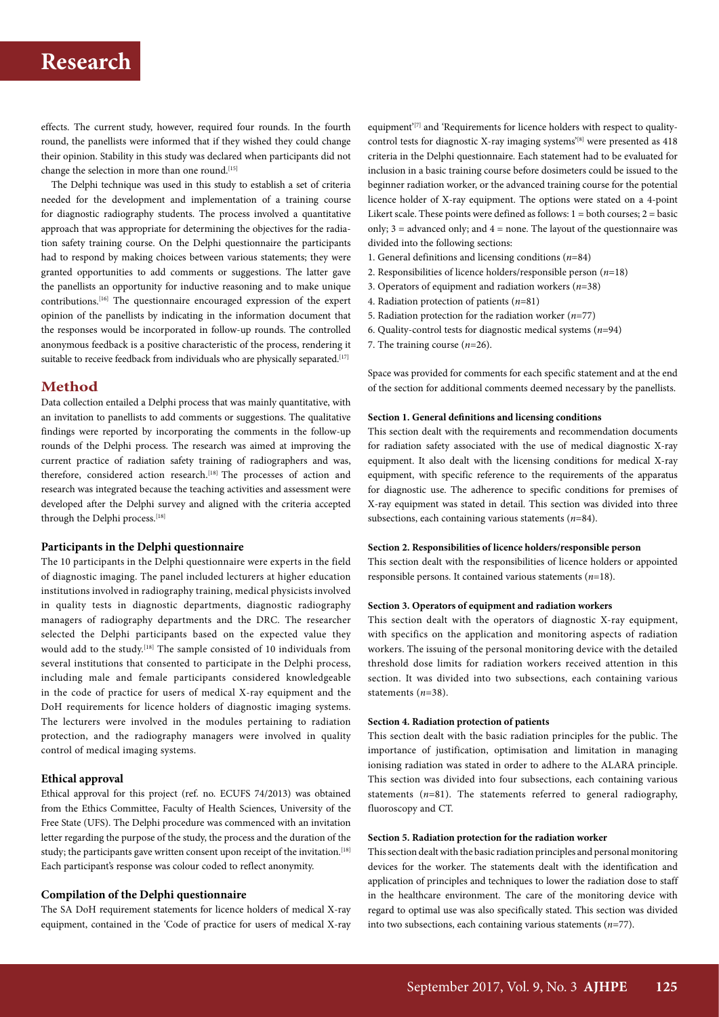# **Research**

effects. The current study, however, required four rounds. In the fourth round, the panellists were informed that if they wished they could change their opinion. Stability in this study was declared when participants did not change the selection in more than one round.<sup>[15]</sup>

The Delphi technique was used in this study to establish a set of criteria needed for the development and implementation of a training course for diagnostic radiography students. The process involved a quantitative approach that was appropriate for determining the objectives for the radiation safety training course. On the Delphi questionnaire the participants had to respond by making choices between various statements; they were granted opportunities to add comments or suggestions. The latter gave the panellists an opportunity for inductive reasoning and to make unique contributions.[16] The questionnaire encouraged expression of the expert opinion of the panellists by indicating in the information document that the responses would be incorporated in follow-up rounds. The controlled anonymous feedback is a positive characteristic of the process, rendering it suitable to receive feedback from individuals who are physically separated.<sup>[17]</sup>

## **Method**

Data collection entailed a Delphi process that was mainly quantitative, with an invitation to panellists to add comments or suggestions. The qualitative findings were reported by incorporating the comments in the follow-up rounds of the Delphi process. The research was aimed at improving the current practice of radiation safety training of radiographers and was, therefore, considered action research.<sup>[18]</sup> The processes of action and research was integrated because the teaching activities and assessment were developed after the Delphi survey and aligned with the criteria accepted through the Delphi process.<sup>[18]</sup>

## **Participants in the Delphi questionnaire**

The 10 participants in the Delphi questionnaire were experts in the field of diagnostic imaging. The panel included lecturers at higher education institutions involved in radiography training, medical physicists involved in quality tests in diagnostic departments, diagnostic radiography managers of radiography departments and the DRC. The researcher selected the Delphi participants based on the expected value they would add to the study.<sup>[18]</sup> The sample consisted of 10 individuals from several institutions that consented to participate in the Delphi process, including male and female participants considered knowledgeable in the code of practice for users of medical X-ray equipment and the DoH requirements for licence holders of diagnostic imaging systems. The lecturers were involved in the modules pertaining to radiation protection, and the radiography managers were involved in quality control of medical imaging systems.

### **Ethical approval**

Ethical approval for this project (ref. no. ECUFS 74/2013) was obtained from the Ethics Committee, Faculty of Health Sciences, University of the Free State (UFS). The Delphi procedure was commenced with an invitation letter regarding the purpose of the study, the process and the duration of the study; the participants gave written consent upon receipt of the invitation.<sup>[18]</sup> Each participant's response was colour coded to reflect anonymity.

## **Compilation of the Delphi questionnaire**

The SA DoH requirement statements for licence holders of medical X-ray equipment, contained in the 'Code of practice for users of medical X-ray

equipment'<sup>[7]</sup> and 'Requirements for licence holders with respect to qualitycontrol tests for diagnostic X-ray imaging systems'<sup>[8]</sup> were presented as 418 criteria in the Delphi questionnaire. Each statement had to be evaluated for inclusion in a basic training course before dosimeters could be issued to the beginner radiation worker, or the advanced training course for the potential licence holder of X-ray equipment. The options were stated on a 4-point Likert scale. These points were defined as follows:  $1 =$  both courses;  $2 =$  basic only;  $3 =$  advanced only; and  $4 =$  none. The layout of the questionnaire was divided into the following sections:

- 1. General definitions and licensing conditions (*n*=84)
- 2. Responsibilities of licence holders/responsible person (*n*=18)
- 3. Operators of equipment and radiation workers (*n*=38)
- 4. Radiation protection of patients (*n*=81)
- 5. Radiation protection for the radiation worker (*n*=77)
- 6. Quality-control tests for diagnostic medical systems (*n*=94)
- 7. The training course (*n*=26).

Space was provided for comments for each specific statement and at the end of the section for additional comments deemed necessary by the panellists.

## **Section 1. General definitions and licensing conditions**

This section dealt with the requirements and recommendation documents for radiation safety associated with the use of medical diagnostic X-ray equipment. It also dealt with the licensing conditions for medical X-ray equipment, with specific reference to the requirements of the apparatus for diagnostic use. The adherence to specific conditions for premises of X-ray equipment was stated in detail. This section was divided into three subsections, each containing various statements (*n*=84).

## **Section 2. Responsibilities of licence holders/responsible person**

This section dealt with the responsibilities of licence holders or appointed responsible persons. It contained various statements (*n*=18).

#### **Section 3. Operators of equipment and radiation workers**

This section dealt with the operators of diagnostic X-ray equipment, with specifics on the application and monitoring aspects of radiation workers. The issuing of the personal monitoring device with the detailed threshold dose limits for radiation workers received attention in this section. It was divided into two subsections, each containing various statements (*n*=38).

#### **Section 4. Radiation protection of patients**

This section dealt with the basic radiation principles for the public. The importance of justification, optimisation and limitation in managing ionising radiation was stated in order to adhere to the ALARA principle. This section was divided into four subsections, each containing various statements (*n*=81). The statements referred to general radiography, fluoroscopy and CT.

## **Section 5. Radiation protection for the radiation worker**

This section dealt with the basic radiation principles and personal monitoring devices for the worker. The statements dealt with the identification and application of principles and techniques to lower the radiation dose to staff in the healthcare environment. The care of the monitoring device with regard to optimal use was also specifically stated. This section was divided into two subsections, each containing various statements (*n*=77).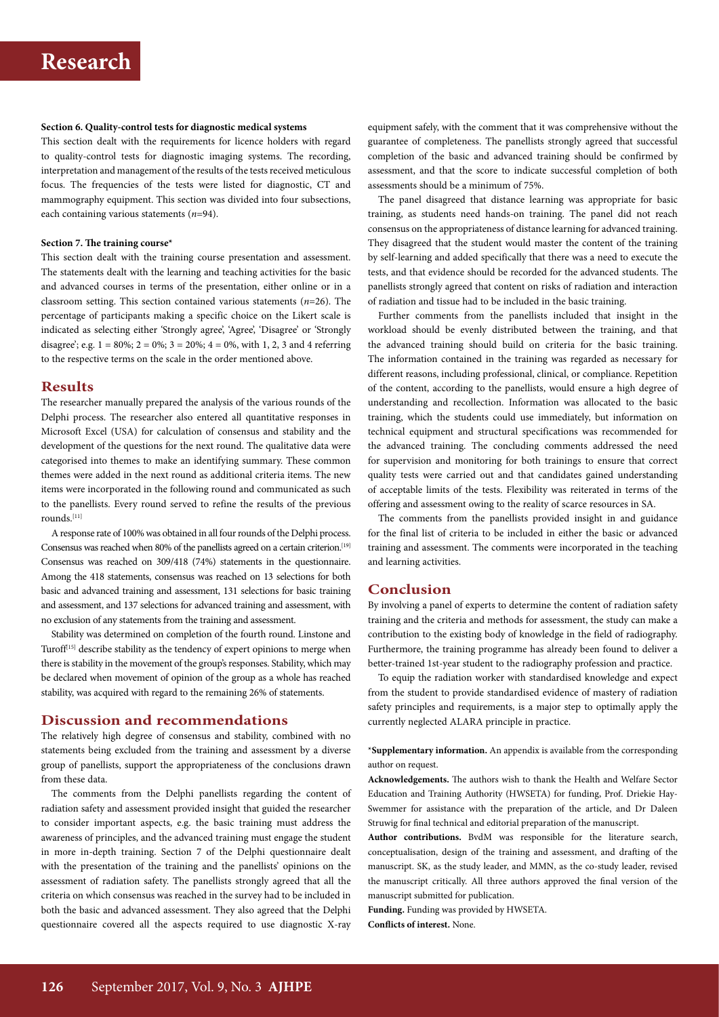#### **Section 6. Quality-control tests for diagnostic medical systems**

This section dealt with the requirements for licence holders with regard to quality-control tests for diagnostic imaging systems. The recording, interpretation and management of the results of the tests received meticulous focus. The frequencies of the tests were listed for diagnostic, CT and mammography equipment. This section was divided into four subsections, each containing various statements (*n*=94).

#### **Section 7. The training course\***

This section dealt with the training course presentation and assessment. The statements dealt with the learning and teaching activities for the basic and advanced courses in terms of the presentation, either online or in a classroom setting. This section contained various statements (*n*=26). The percentage of participants making a specific choice on the Likert scale is indicated as selecting either 'Strongly agree', 'Agree', 'Disagree' or 'Strongly disagree'; e.g.  $1 = 80\%$ ;  $2 = 0\%$ ;  $3 = 20\%$ ;  $4 = 0\%$ , with 1, 2, 3 and 4 referring to the respective terms on the scale in the order mentioned above.

## **Results**

The researcher manually prepared the analysis of the various rounds of the Delphi process. The researcher also entered all quantitative responses in Microsoft Excel (USA) for calculation of consensus and stability and the development of the questions for the next round. The qualitative data were categorised into themes to make an identifying summary. These common themes were added in the next round as additional criteria items. The new items were incorporated in the following round and communicated as such to the panellists. Every round served to refine the results of the previous rounds.[11]

A response rate of 100% was obtained in all four rounds of the Delphi process. Consensus was reached when 80% of the panellists agreed on a certain criterion.<sup>[19]</sup> Consensus was reached on 309/418 (74%) statements in the questionnaire. Among the 418 statements, consensus was reached on 13 selections for both basic and advanced training and assessment, 131 selections for basic training and assessment, and 137 selections for advanced training and assessment, with no exclusion of any statements from the training and assessment.

Stability was determined on completion of the fourth round. Linstone and Turoff<sup>[15]</sup> describe stability as the tendency of expert opinions to merge when there is stability in the movement of the group's responses. Stability, which may be declared when movement of opinion of the group as a whole has reached stability, was acquired with regard to the remaining 26% of statements.

## **Discussion and recommendations**

The relatively high degree of consensus and stability, combined with no statements being excluded from the training and assessment by a diverse group of panellists, support the appropriateness of the conclusions drawn from these data.

The comments from the Delphi panellists regarding the content of radiation safety and assessment provided insight that guided the researcher to consider important aspects, e.g. the basic training must address the awareness of principles, and the advanced training must engage the student in more in-depth training. Section 7 of the Delphi questionnaire dealt with the presentation of the training and the panellists' opinions on the assessment of radiation safety. The panellists strongly agreed that all the criteria on which consensus was reached in the survey had to be included in both the basic and advanced assessment. They also agreed that the Delphi questionnaire covered all the aspects required to use diagnostic X-ray

equipment safely, with the comment that it was comprehensive without the guarantee of completeness. The panellists strongly agreed that successful completion of the basic and advanced training should be confirmed by assessment, and that the score to indicate successful completion of both assessments should be a minimum of 75%.

The panel disagreed that distance learning was appropriate for basic training, as students need hands-on training. The panel did not reach consensus on the appropriateness of distance learning for advanced training. They disagreed that the student would master the content of the training by self-learning and added specifically that there was a need to execute the tests, and that evidence should be recorded for the advanced students. The panellists strongly agreed that content on risks of radiation and interaction of radiation and tissue had to be included in the basic training.

Further comments from the panellists included that insight in the workload should be evenly distributed between the training, and that the advanced training should build on criteria for the basic training. The information contained in the training was regarded as necessary for different reasons, including professional, clinical, or compliance. Repetition of the content, according to the panellists, would ensure a high degree of understanding and recollection. Information was allocated to the basic training, which the students could use immediately, but information on technical equipment and structural specifications was recommended for the advanced training. The concluding comments addressed the need for supervision and monitoring for both trainings to ensure that correct quality tests were carried out and that candidates gained understanding of acceptable limits of the tests. Flexibility was reiterated in terms of the offering and assessment owing to the reality of scarce resources in SA.

The comments from the panellists provided insight in and guidance for the final list of criteria to be included in either the basic or advanced training and assessment. The comments were incorporated in the teaching and learning activities.

# **Conclusion**

By involving a panel of experts to determine the content of radiation safety training and the criteria and methods for assessment, the study can make a contribution to the existing body of knowledge in the field of radiography. Furthermore, the training programme has already been found to deliver a better-trained 1st-year student to the radiography profession and practice.

To equip the radiation worker with standardised knowledge and expect from the student to provide standardised evidence of mastery of radiation safety principles and requirements, is a major step to optimally apply the currently neglected ALARA principle in practice.

\***Supplementary information.** An appendix is available from the corresponding author on request.

**Acknowledgements.** The authors wish to thank the Health and Welfare Sector Education and Training Authority (HWSETA) for funding, Prof. Driekie Hay-Swemmer for assistance with the preparation of the article, and Dr Daleen Struwig for final technical and editorial preparation of the manuscript.

**Author contributions.** BvdM was responsible for the literature search, conceptualisation, design of the training and assessment, and drafting of the manuscript. SK, as the study leader, and MMN, as the co-study leader, revised the manuscript critically. All three authors approved the final version of the manuscript submitted for publication.

**Funding.** Funding was provided by HWSETA. **Conflicts of interest.** None.